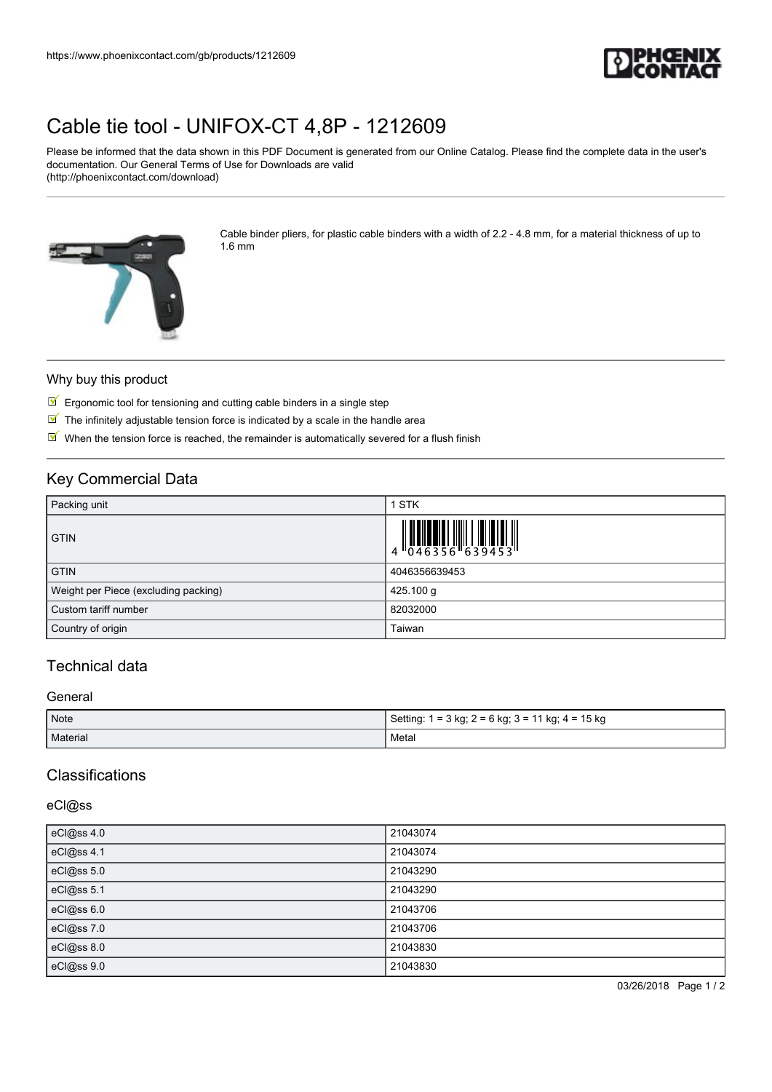

# [Cable tie tool - UNIFOX-CT 4,8P - 1212609](https://www.phoenixcontact.com/gb/products/1212609)

Please be informed that the data shown in this PDF Document is generated from our Online Catalog. Please find the complete data in the user's documentation. Our General Terms of Use for Downloads are valid (http://phoenixcontact.com/download)



Cable binder pliers, for plastic cable binders with a width of 2.2 - 4.8 mm, for a material thickness of up to 1.6 mm

#### Why buy this product

- $\boxed{\blacksquare}$  Ergonomic tool for tensioning and cutting cable binders in a single step
- $\blacksquare$  The infinitely adjustable tension force is indicated by a scale in the handle area
- $\mathbb N$  When the tension force is reached, the remainder is automatically severed for a flush finish

## Key Commercial Data

| Packing unit                         | 1 STK                                                                                                                                                                                                                                                                                                                    |
|--------------------------------------|--------------------------------------------------------------------------------------------------------------------------------------------------------------------------------------------------------------------------------------------------------------------------------------------------------------------------|
| <b>GTIN</b>                          | $\begin{array}{c} 1 & 0 & 0 & 0 \\ 0 & 0 & 4 & 6 & 3 & 5 & 6 \\ 0 & 0 & 4 & 6 & 3 & 5 & 6 \\ 0 & 0 & 0 & 0 & 0 & 3 & 9 & 4 & 5 \\ 0 & 0 & 0 & 0 & 0 & 0 & 0 \\ 0 & 0 & 0 & 0 & 0 & 0 & 0 \\ 0 & 0 & 0 & 0 & 0 & 0 & 0 \\ 0 & 0 & 0 & 0 & 0 & 0 & 0 \\ 0 & 0 & 0 & 0 & 0 & 0 & 0 \\ 0 & 0 & 0 & 0 & 0 & 0 & 0 \\ 0 & 0 &$ |
| <b>GTIN</b>                          | 4046356639453                                                                                                                                                                                                                                                                                                            |
| Weight per Piece (excluding packing) | 425.100 g                                                                                                                                                                                                                                                                                                                |
| Custom tariff number                 | 82032000                                                                                                                                                                                                                                                                                                                 |
| Country of origin                    | Taiwan                                                                                                                                                                                                                                                                                                                   |

## Technical data

#### General

| Note     | Setting: 1 = 3 kg; 2 = 6 kg; 3 = 11 kg; 4 = 15 kg |
|----------|---------------------------------------------------|
| Material | Metal                                             |

## **Classifications**

## eCl@ss

| eCl@ss 4.0 | 21043074 |
|------------|----------|
| eCl@ss 4.1 | 21043074 |
| eCl@ss 5.0 | 21043290 |
| eCl@ss 5.1 | 21043290 |
| eCl@ss 6.0 | 21043706 |
| eCl@ss 7.0 | 21043706 |
| eCl@ss 8.0 | 21043830 |
| eCl@ss 9.0 | 21043830 |

03/26/2018 Page 1 / 2